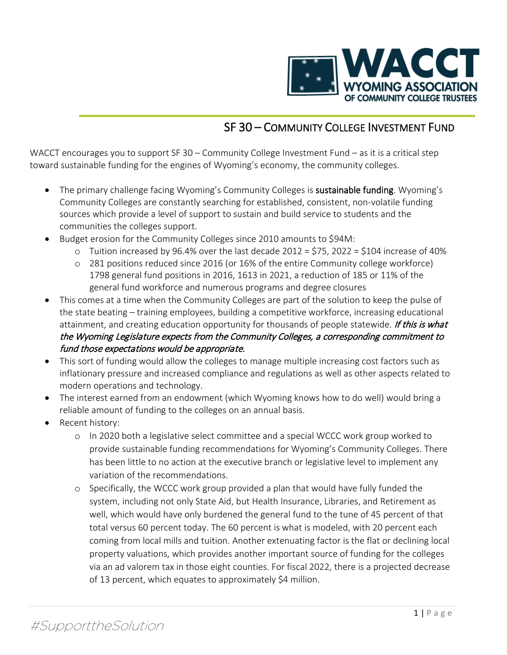

## SF 30 – COMMUNITY COLLEGE INVESTMENT FUND

WACCT encourages you to support SF 30 – Community College Investment Fund – as it is a critical step toward sustainable funding for the engines of Wyoming's economy, the community colleges.

- The primary challenge facing Wyoming's Community Colleges is **sustainable funding**. Wyoming's Community Colleges are constantly searching for established, consistent, non-volatile funding sources which provide a level of support to sustain and build service to students and the communities the colleges support.
- Budget erosion for the Community Colleges since 2010 amounts to \$94M:
	- $\circ$  Tuition increased by 96.4% over the last decade 2012 = \$75, 2022 = \$104 increase of 40%
	- o 281 positions reduced since 2016 (or 16% of the entire Community college workforce) 1798 general fund positions in 2016, 1613 in 2021, a reduction of 185 or 11% of the general fund workforce and numerous programs and degree closures
- This comes at a time when the Community Colleges are part of the solution to keep the pulse of the state beating – training employees, building a competitive workforce, increasing educational attainment, and creating education opportunity for thousands of people statewide. If this is what the Wyoming Legislature expects from the Community Colleges, a corresponding commitment to fund those expectations would be appropriate.
- This sort of funding would allow the colleges to manage multiple increasing cost factors such as inflationary pressure and increased compliance and regulations as well as other aspects related to modern operations and technology.
- The interest earned from an endowment (which Wyoming knows how to do well) would bring a reliable amount of funding to the colleges on an annual basis.
- Recent history:
	- o In 2020 both a legislative select committee and a special WCCC work group worked to provide sustainable funding recommendations for Wyoming's Community Colleges. There has been little to no action at the executive branch or legislative level to implement any variation of the recommendations.
	- o Specifically, the WCCC work group provided a plan that would have fully funded the system, including not only State Aid, but Health Insurance, Libraries, and Retirement as well, which would have only burdened the general fund to the tune of 45 percent of that total versus 60 percent today. The 60 percent is what is modeled, with 20 percent each coming from local mills and tuition. Another extenuating factor is the flat or declining local property valuations, which provides another important source of funding for the colleges via an ad valorem tax in those eight counties. For fiscal 2022, there is a projected decrease of 13 percent, which equates to approximately \$4 million.